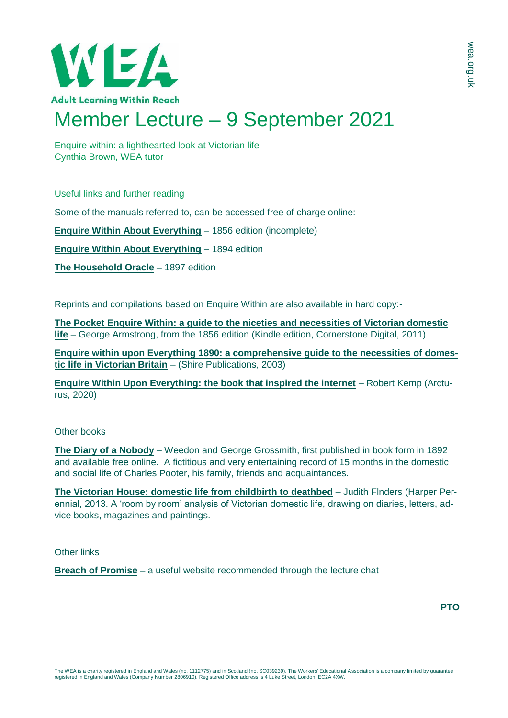

## Member Lecture – 9 September 2021

Enquire within: a lighthearted look at Victorian life Cynthia Brown, WEA tutor

Useful links and further reading

Some of the manuals referred to, can be accessed free of charge online:

**[Enquire Within About Everything](https://archive.org/details/enquirewithinup00evergoog)** – 1856 edition (incomplete)

**[Enquire Within About Everything](https://www.gutenberg.org/files/10766/10766-h/10766-h.htm)** – 1894 edition

**[The Household Oracle](https://ia601304.us.archive.org/30/items/b21537288/b21537288.pdf)** – 1897 edition

Reprints and compilations based on Enquire Within are also available in hard copy:-

**[The Pocket Enquire Within: a guide to the niceties and necessities of Victorian domestic](https://www.amazon.co.uk/Pocket-Enquire-Within-necessities-Victorian/dp/1847945848)  [life](https://www.amazon.co.uk/Pocket-Enquire-Within-necessities-Victorian/dp/1847945848)** – George Armstrong, from the 1856 edition (Kindle edition, Cornerstone Digital, 2011)

**[Enquire within upon Everything 1890: a comprehensive guide to the necessities of domes](https://www.amazon.co.uk/Enquire-within-upon-Everything-1890/dp/187359030X)[tic life in Victorian Britain](https://www.amazon.co.uk/Enquire-within-upon-Everything-1890/dp/187359030X)** – (Shire Publications, 2003)

**[Enquire Within Upon Everything: the book that inspired the internet](https://www.abebooks.co.uk/9781789502176/Enquire-Everything-Book-Inspired-Internet-1789502179/plp)** – Robert Kemp (Arcturus, 2020)

## Other books

**[The Diary of a Nobody](https://gutenberg.org/ebooks/1026)** – Weedon and George Grossmith, first published in book form in 1892 and available free online. A fictitious and very entertaining record of 15 months in the domestic and social life of Charles Pooter, his family, friends and acquaintances.

**[The Victorian House: domestic life from childbirth to deathbed](https://www.amazon.co.uk/Victorian-House-Domestic-Childbirth-Deathbed/dp/B0049MW4VI)** – Judith Flnders (Harper Perennial, 2013. A 'room by room' analysis of Victorian domestic life, drawing on diaries, letters, advice books, magazines and paintings.

Other links

**[Breach of Promise](http://www.denisebates.co.uk/bopresearch.html)** – a useful website recommended through the lecture chat

**PTO**